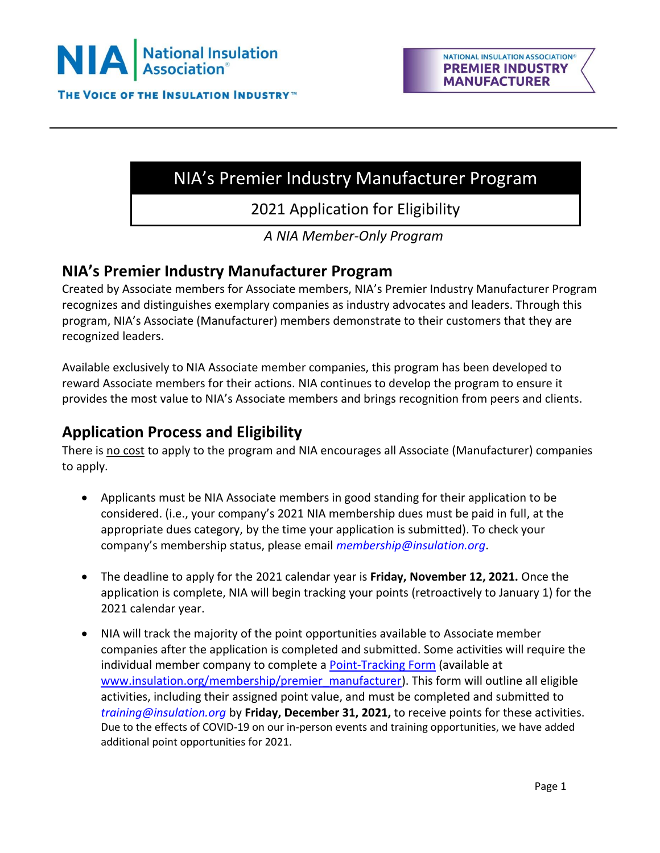

# NIA's Premier Industry Manufacturer Program

2021 Application for Eligibility

*A NIA Member-Only Program*

### **NIA's Premier Industry Manufacturer Program**

Created by Associate members for Associate members, NIA's Premier Industry Manufacturer Program recognizes and distinguishes exemplary companies as industry advocates and leaders. Through this program, NIA's Associate (Manufacturer) members demonstrate to their customers that they are recognized leaders.

Available exclusively to NIA Associate member companies, this program has been developed to reward Associate members for their actions. NIA continues to develop the program to ensure it provides the most value to NIA's Associate members and brings recognition from peers and clients.

### **Application Process and Eligibility**

There is no cost to apply to the program and NIA encourages all Associate (Manufacturer) companies to apply.

- Applicants must be NIA Associate members in good standing for their application to be considered. (i.e., your company's 2021 NIA membership dues must be paid in full, at the appropriate dues category, by the time your application is submitted). To check your company's membership status, please email *[membership@insulation.org](mailto:membership@insulation.org)*.
- The deadline to apply for the 2021 calendar year is **Friday, November 12, 2021.** Once the application is complete, NIA will begin tracking your points (retroactively to January 1) for the 2021 calendar year.
- NIA will track the majority of the point opportunities available to Associate member companies after the application is completed and submitted. Some activities will require the individual member company to complete a [Point-Tracking Form](https://insulation.org/wp-content/uploads/2021/03/Premier-Industry-Manufacturer-Program-2021-Member-Point-Tracking-Form-FINAL.pdf) (available at [www.insulation.org/membership/premier\\_manufacturer\)](http://www.insulation.org/membership/premier_manufacturer). This form will outline all eligible activities, including their assigned point value, and must be completed and submitted to *[training@insulation.org](mailto:training@insulation.org)* by **Friday, December 31, 2021,** to receive points for these activities. Due to the effects of COVID-19 on our in-person events and training opportunities, we have added additional point opportunities for 2021.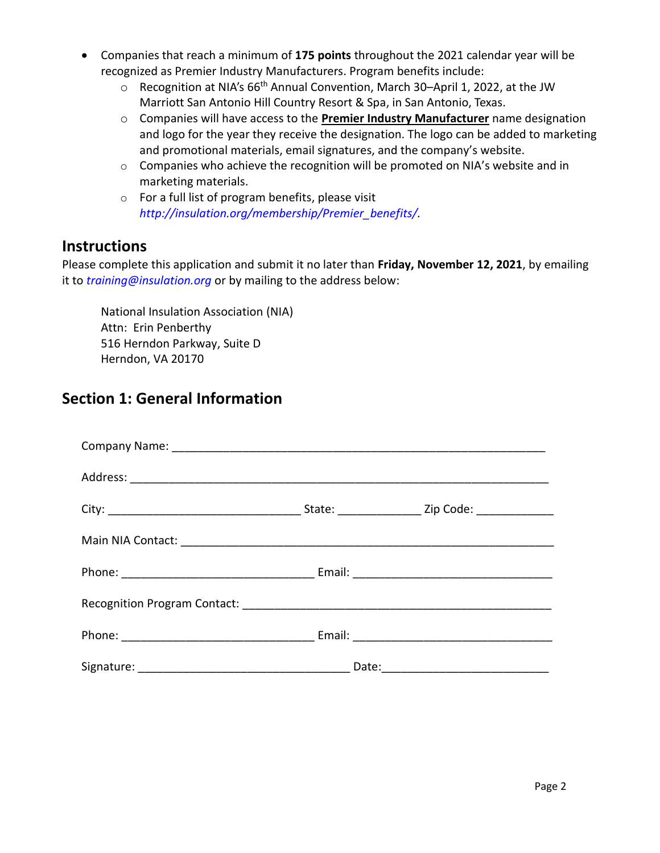- Companies that reach a minimum of **175 points** throughout the 2021 calendar year will be recognized as Premier Industry Manufacturers. Program benefits include:
	- Recognition at NIA's 66<sup>th</sup> Annual Convention, March 30–April 1, 2022, at the JW Marriott San Antonio Hill Country Resort & Spa, in San Antonio, Texas.
	- o Companies will have access to the **Premier Industry Manufacturer** name designation and logo for the year they receive the designation. The logo can be added to marketing and promotional materials, email signatures, and the company's website.
	- o Companies who achieve the recognition will be promoted on NIA's website and in marketing materials.
	- o For a full list of program benefits, please visit *[http://insulation.org/membership/Premier\\_benefits/.](http://insulation.org/membership/Premier_benefits/)*

### **Instructions**

Please complete this application and submit it no later than **Friday, November 12, 2021**, by emailing it to *[training@insulation.org](mailto:training@insulation.org)* or by mailing to the address below:

National Insulation Association (NIA) Attn: Erin Penberthy 516 Herndon Parkway, Suite D Herndon, VA 20170

### **Section 1: General Information**